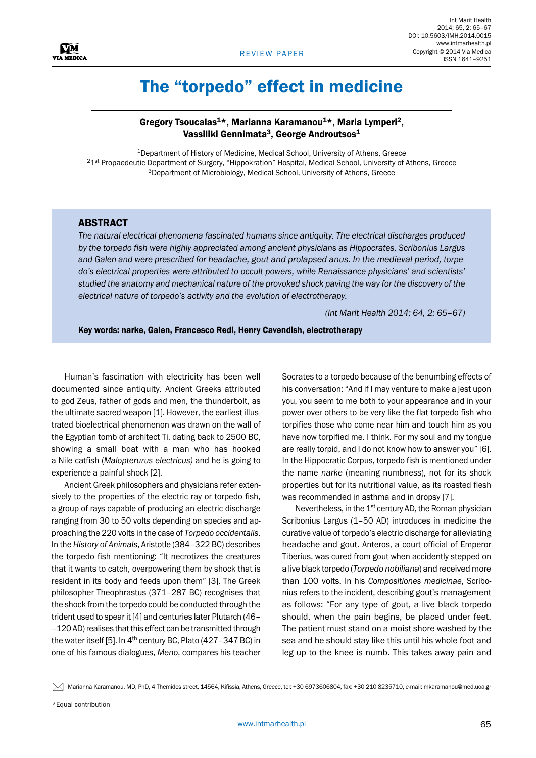

## The "torpedo" effect in medicine

## Gregory Tsoucalas<sup>1\*</sup>, Marianna Karamanou<sup>1\*</sup>, Maria Lymperi<sup>2</sup>, Vassiliki Gennimata<sup>3</sup>, George Androutsos<sup>1</sup>

<sup>1</sup>Department of History of Medicine, Medical School, University of Athens, Greece 21st Propaedeutic Department of Surgery, "Hippokration" Hospital, Medical School, University of Athens, Greece 3Department of Microbiology, Medical School, University of Athens, Greece

## **ABSTRACT**

*The natural electrical phenomena fascinated humans since antiquity. The electrical discharges produced by the torpedo fish were highly appreciated among ancient physicians as Hippocrates, Scribonius Largus and Galen and were prescribed for headache, gout and prolapsed anus. In the medieval period, torpedo's electrical properties were attributed to occult powers, while Renaissance physicians' and scientists' studied the anatomy and mechanical nature of the provoked shock paving the way for the discovery of the electrical nature of torpedo's activity and the evolution of electrotherapy.*

*(Int Marit Health 2014; 64, 2: 65–67)*

Key words: narke, Galen, Francesco Redi, Henry Cavendish, electrotherapy

Human's fascination with electricity has been well documented since antiquity. Ancient Greeks attributed to god Zeus, father of gods and men, the thunderbolt, as the ultimate sacred weapon [1]. However, the earliest illustrated bioelectrical phenomenon was drawn on the wall of the Egyptian tomb of architect Ti, dating back to 2500 BC, showing a small boat with a man who has hooked a Nile catfish (*Malopterurus electricus)* and he is going to experience a painful shock [2].

Ancient Greek philosophers and physicians refer extensively to the properties of the electric ray or torpedo fish, a group of rays capable of producing an electric discharge ranging from 30 to 50 volts depending on species and approaching the 220 volts in the case of *Torpedo occidentalis*. In the *History of Animals*, Aristotle (384–322 BC) describes the torpedo fish mentioning: "It necrotizes the creatures that it wants to catch, overpowering them by shock that is resident in its body and feeds upon them" [3]. The Greek philosopher Theophrastus (371–287 BC) recognises that the shock from the torpedo could be conducted through the trident used to spear it [4] and centuries later Plutarch (46– –120 AD) realises that this effect can be transmitted through the water itself [5]. In  $4<sup>th</sup>$  century BC, Plato (427-347 BC) in one of his famous dialogues, *Meno*, compares his teacher Socrates to a torpedo because of the benumbing effects of his conversation: "And if I may venture to make a jest upon you, you seem to me both to your appearance and in your power over others to be very like the flat torpedo fish who torpifies those who come near him and touch him as you have now torpified me. I think. For my soul and my tongue are really torpid, and I do not know how to answer you" [6]. In the Hippocratic Corpus, torpedo fish is mentioned under the name *narke* (meaning numbness), not for its shock properties but for its nutritional value, as its roasted flesh was recommended in asthma and in dropsy [7].

Nevertheless, in the 1<sup>st</sup> century AD, the Roman physician Scribonius Largus (1–50 AD) introduces in medicine the curative value of torpedo's electric discharge for alleviating headache and gout. Anteros, a court official of Emperor Tiberius, was cured from gout when accidently stepped on a live black torpedo (*Torpedo nobiliana*) and received more than 100 volts. In his *Compositiones medicinae*, Scribonius refers to the incident, describing gout's management as follows: "For any type of gout, a live black torpedo should, when the pain begins, be placed under feet. The patient must stand on a moist shore washed by the sea and he should stay like this until his whole foot and leg up to the knee is numb. This takes away pain and

 $[\times]$  Marianna Karamanou, MD, PhD, 4 Themidos street, 14564, Kifissia, Athens, Greece, tel: +30 6973606804, fax: +30 210 8235710, e-mail: mkaramanou@med.uoa.gr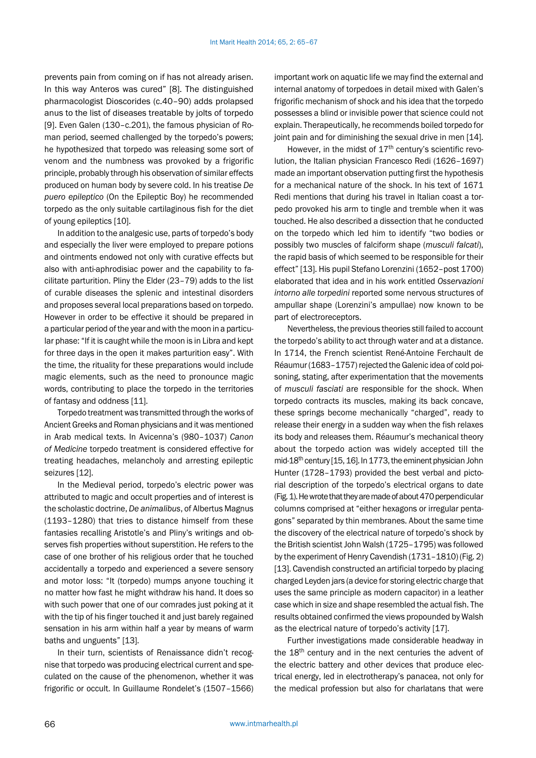prevents pain from coming on if has not already arisen. In this way Anteros was cured" [8]. The distinguished pharmacologist Dioscorides (c.40–90) adds prolapsed anus to the list of diseases treatable by jolts of torpedo [9]. Even Galen (130–c.201), the famous physician of Roman period, seemed challenged by the torpedo's powers; he hypothesized that torpedo was releasing some sort of venom and the numbness was provoked by a frigorific principle, probably through his observation of similar effects produced on human body by severe cold. In his treatise *De puero epileptico* (On the Epileptic Boy) he recommended torpedo as the only suitable cartilaginous fish for the diet of young epileptics [10].

In addition to the analgesic use, parts of torpedo's body and especially the liver were employed to prepare potions and ointments endowed not only with curative effects but also with anti-aphrodisiac power and the capability to facilitate parturition. Pliny the Elder (23–79) adds to the list of curable diseases the splenic and intestinal disorders and proposes several local preparations based on torpedo. However in order to be effective it should be prepared in a particular period of the year and with the moon in a particular phase: "If it is caught while the moon is in Libra and kept for three days in the open it makes parturition easy". With the time, the rituality for these preparations would include magic elements, such as the need to pronounce magic words, contributing to place the torpedo in the territories of fantasy and oddness [11].

Torpedo treatment was transmitted through the works of Ancient Greeks and Roman physicians and it was mentioned in Arab medical texts. In Avicenna's (980–1037) *Canon of Medicine* torpedo treatment is considered effective for treating headaches, melancholy and arresting epileptic seizures [12].

In the Medieval period, torpedo's electric power was attributed to magic and occult properties and of interest is the scholastic doctrine, *De animalibus*, of Albertus Magnus (1193–1280) that tries to distance himself from these fantasies recalling Aristotle's and Pliny's writings and observes fish properties without superstition. He refers to the case of one brother of his religious order that he touched accidentally a torpedo and experienced a severe sensory and motor loss: "It (torpedo) mumps anyone touching it no matter how fast he might withdraw his hand. It does so with such power that one of our comrades just poking at it with the tip of his finger touched it and just barely regained sensation in his arm within half a year by means of warm baths and unguents" [13].

In their turn, scientists of Renaissance didn't recognise that torpedo was producing electrical current and speculated on the cause of the phenomenon, whether it was frigorific or occult. In Guillaume Rondelet's (1507–1566)

important work on aquatic life we may find the external and internal anatomy of torpedoes in detail mixed with Galen's frigorific mechanism of shock and his idea that the torpedo possesses a blind or invisible power that science could not explain. Therapeutically, he recommends boiled torpedo for joint pain and for diminishing the sexual drive in men [14].

However, in the midst of  $17<sup>th</sup>$  century's scientific revolution, the Italian physician Francesco Redi (1626–1697) made an important observation putting first the hypothesis for a mechanical nature of the shock. In his text of 1671 Redi mentions that during his travel in Italian coast a torpedo provoked his arm to tingle and tremble when it was touched. He also described a dissection that he conducted on the torpedo which led him to identify "two bodies or possibly two muscles of falciform shape (*musculi falcati*), the rapid basis of which seemed to be responsible for their effect" [13]. His pupil Stefano Lorenzini (1652–post 1700) elaborated that idea and in his work entitled *Osservazioni intorno alle torpedini* reported some nervous structures of ampullar shape (Lorenzini's ampullae) now known to be part of electroreceptors.

Nevertheless, the previous theories still failed to account the torpedo's ability to act through water and at a distance. In 1714, the French scientist René-Antoine Ferchault de Réaumur (1683–1757) rejected the Galenic idea of cold poisoning, stating, after experimentation that the movements of *musculi fasciati* are responsible for the shock. When torpedo contracts its muscles, making its back concave, these springs become mechanically "charged", ready to release their energy in a sudden way when the fish relaxes its body and releases them. Réaumur's mechanical theory about the torpedo action was widely accepted till the mid-18<sup>th</sup> century [15, 16]. In 1773, the eminent physician John Hunter (1728–1793) provided the best verbal and pictorial description of the torpedo's electrical organs to date (Fig. 1). He wrote that they are made of about 470 perpendicular columns comprised at "either hexagons or irregular pentagons" separated by thin membranes. About the same time the discovery of the electrical nature of torpedo's shock by the British scientist John Walsh (1725–1795) was followed by the experiment of Henry Cavendish (1731–1810) (Fig. 2) [13]. Cavendish constructed an artificial torpedo by placing charged Leyden jars (a device for storing electric charge that uses the same principle as modern capacitor) in a leather case which in size and shape resembled the actual fish. The results obtained confirmed the views propounded by Walsh as the electrical nature of torpedo's activity [17].

Further investigations made considerable headway in the 18<sup>th</sup> century and in the next centuries the advent of the electric battery and other devices that produce electrical energy, led in electrotherapy's panacea, not only for the medical profession but also for charlatans that were